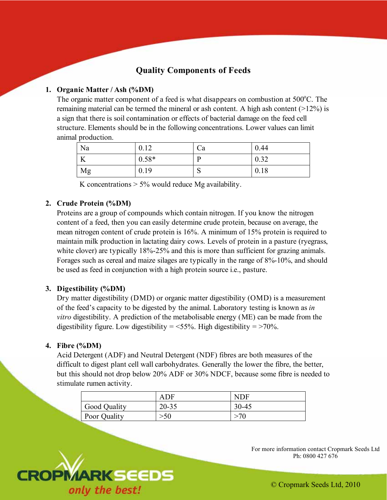# **Quality Components of Feeds**

# **1. Organic Matter / Ash (%DM)**

The organic matter component of a feed is what disappears on combustion at 500°C. The remaining material can be termed the mineral or ash content. A high ash content  $(>12\%)$  is a sign that there is soil contamination or effects of bacterial damage on the feed cell structure. Elements should be in the following concentrations. Lower values can limit animal production.

| Na                                 | 0.12    | Ċа | 0.44 |
|------------------------------------|---------|----|------|
| <b>T</b> <i>r</i><br><sup>17</sup> | $0.58*$ |    | 0.32 |
| Mg                                 | 0.19    | ື  | 0.18 |

K concentrations  $> 5\%$  would reduce Mg availability.

### **2. Crude Protein (%DM)**

Proteins are a group of compounds which contain nitrogen. If you know the nitrogen content of a feed, then you can easily determine crude protein, because on average, the mean nitrogen content of crude protein is 16%. A minimum of 15% protein is required to maintain milk production in lactating dairy cows. Levels of protein in a pasture (ryegrass, white clover) are typically 18%-25% and this is more than sufficient for grazing animals. Forages such as cereal and maize silages are typically in the range of 8%-10%, and should be used as feed in conjunction with a high protein source i.e., pasture.

# **3. Digestibility (%DM)**

Dry matter digestibility (DMD) or organic matter digestibility (OMD) is a measurement of the feed's capacity to be digested by the animal. Laboratory testing is known as *in vitro* digestibility. A prediction of the metabolisable energy (ME) can be made from the digestibility figure. Low digestibility  $=$  <55%. High digestibility  $=$  >70%.

#### **4. Fibre (%DM)**

Acid Detergent (ADF) and Neutral Detergent (NDF) fibres are both measures of the difficult to digest plant cell wall carbohydrates. Generally the lower the fibre, the better, but this should not drop below 20% ADF or 30% NDCF, because some fibre is needed to stimulate rumen activity.

|              | ADF       | <b>NDF</b> |
|--------------|-----------|------------|
| Good Quality | $20 - 35$ | $30 - 45$  |
| Poor Quality | $>\!\!50$ | $\sim$ 70  |



For more information contact Cropmark Seeds Ltd Ph: 0800 427 676

© Cropmark Seeds Ltd, 2010